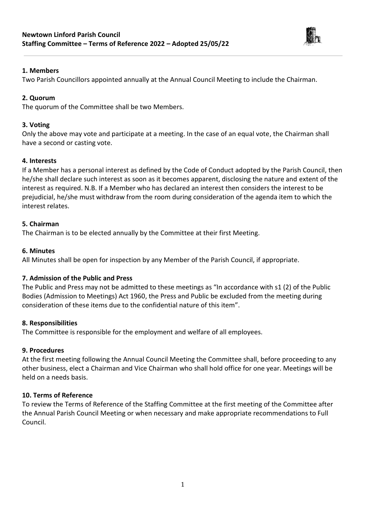

## **1. Members**

Two Parish Councillors appointed annually at the Annual Council Meeting to include the Chairman.

## **2. Quorum**

The quorum of the Committee shall be two Members.

## **3. Voting**

Only the above may vote and participate at a meeting. In the case of an equal vote, the Chairman shall have a second or casting vote.

# **4. Interests**

If a Member has a personal interest as defined by the Code of Conduct adopted by the Parish Council, then he/she shall declare such interest as soon as it becomes apparent, disclosing the nature and extent of the interest as required. N.B. If a Member who has declared an interest then considers the interest to be prejudicial, he/she must withdraw from the room during consideration of the agenda item to which the interest relates.

## **5. Chairman**

The Chairman is to be elected annually by the Committee at their first Meeting.

#### **6. Minutes**

All Minutes shall be open for inspection by any Member of the Parish Council, if appropriate.

# **7. Admission of the Public and Press**

The Public and Press may not be admitted to these meetings as "In accordance with s1 (2) of the Public Bodies (Admission to Meetings) Act 1960, the Press and Public be excluded from the meeting during consideration of these items due to the confidential nature of this item".

#### **8. Responsibilities**

The Committee is responsible for the employment and welfare of all employees.

#### **9. Procedures**

At the first meeting following the Annual Council Meeting the Committee shall, before proceeding to any other business, elect a Chairman and Vice Chairman who shall hold office for one year. Meetings will be held on a needs basis.

# **10. Terms of Reference**

To review the Terms of Reference of the Staffing Committee at the first meeting of the Committee after the Annual Parish Council Meeting or when necessary and make appropriate recommendations to Full Council.